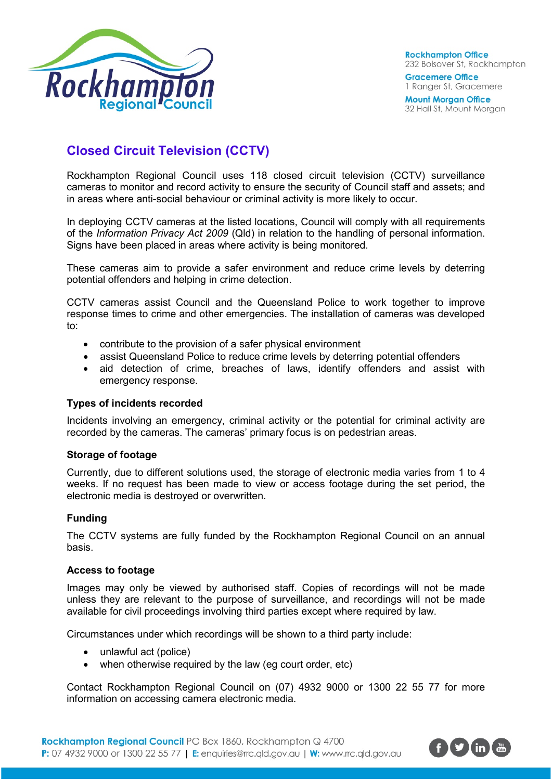

**Rockhampton Office** 232 Bolsover St, Rockhampton **Gracemere Office** 1 Ranger St, Gracemere

**Mount Morgan Office** 32 Hall St, Mount Morgan

# **Closed Circuit Television (CCTV)**

Rockhampton Regional Council uses 118 closed circuit television (CCTV) surveillance cameras to monitor and record activity to ensure the security of Council staff and assets; and in areas where anti-social behaviour or criminal activity is more likely to occur.

In deploying CCTV cameras at the listed locations, Council will comply with all requirements of the *Information Privacy Act 2009* (Qld) in relation to the handling of personal information. Signs have been placed in areas where activity is being monitored.

These cameras aim to provide a safer environment and reduce crime levels by deterring potential offenders and helping in crime detection.

CCTV cameras assist Council and the Queensland Police to work together to improve response times to crime and other emergencies. The installation of cameras was developed to:

- contribute to the provision of a safer physical environment
- assist Queensland Police to reduce crime levels by deterring potential offenders
- aid detection of crime, breaches of laws, identify offenders and assist with emergency response.

## **Types of incidents recorded**

Incidents involving an emergency, criminal activity or the potential for criminal activity are recorded by the cameras. The cameras' primary focus is on pedestrian areas.

#### **Storage of footage**

Currently, due to different solutions used, the storage of electronic media varies from 1 to 4 weeks. If no request has been made to view or access footage during the set period, the electronic media is destroyed or overwritten.

## **Funding**

The CCTV systems are fully funded by the Rockhampton Regional Council on an annual basis.

#### **Access to footage**

Images may only be viewed by authorised staff. Copies of recordings will not be made unless they are relevant to the purpose of surveillance, and recordings will not be made available for civil proceedings involving third parties except where required by law.

Circumstances under which recordings will be shown to a third party include:

- unlawful act (police)
- when otherwise required by the law (eg court order, etc)

Contact Rockhampton Regional Council on (07) 4932 9000 or 1300 22 55 77 for more information on accessing camera electronic media.

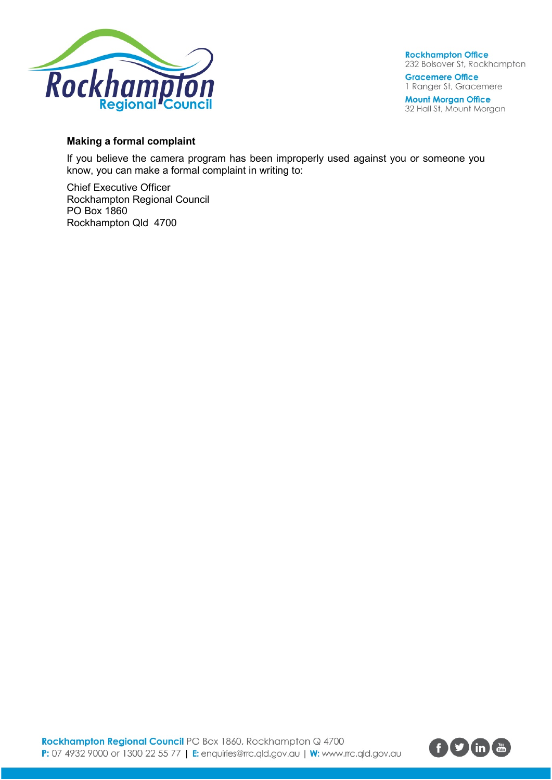

**Rockhampton Office** 232 Bolsover St, Rockhampton **Gracemere Office** 

1 Ranger St, Gracemere

**Mount Morgan Office** 32 Hall St, Mount Morgan

# **Making a formal complaint**

If you believe the camera program has been improperly used against you or someone you know, you can make a formal complaint in writing to:

Chief Executive Officer Rockhampton Regional Council PO Box 1860 Rockhampton Qld 4700